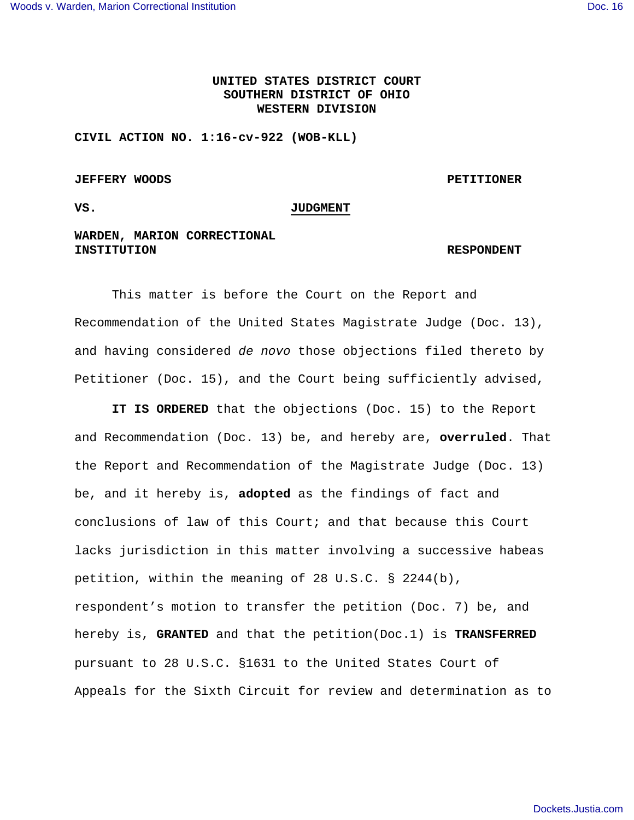# **UNITED STATES DISTRICT COURT SOUTHERN DISTRICT OF OHIO WESTERN DIVISION**

**CIVIL ACTION NO. 1:16-cv-922 (WOB-KLL)** 

### **JEFFERY WOODS PETITIONER**

#### **VS. JUDGMENT**

## **WARDEN, MARION CORRECTIONAL INSTITUTION RESPONDENT**

 This matter is before the Court on the Report and Recommendation of the United States Magistrate Judge (Doc. 13), and having considered de novo those objections filed thereto by Petitioner (Doc. 15), and the Court being sufficiently advised,

**IT IS ORDERED** that the objections (Doc. 15) to the Report and Recommendation (Doc. 13) be, and hereby are, **overruled**. That the Report and Recommendation of the Magistrate Judge (Doc. 13) be, and it hereby is, **adopted** as the findings of fact and conclusions of law of this Court; and that because this Court lacks jurisdiction in this matter involving a successive habeas petition, within the meaning of 28 U.S.C. § 2244(b), respondent's motion to transfer the petition (Doc. 7) be, and hereby is, **GRANTED** and that the petition(Doc.1) is **TRANSFERRED** pursuant to 28 U.S.C. §1631 to the United States Court of Appeals for the Sixth Circuit for review and determination as to